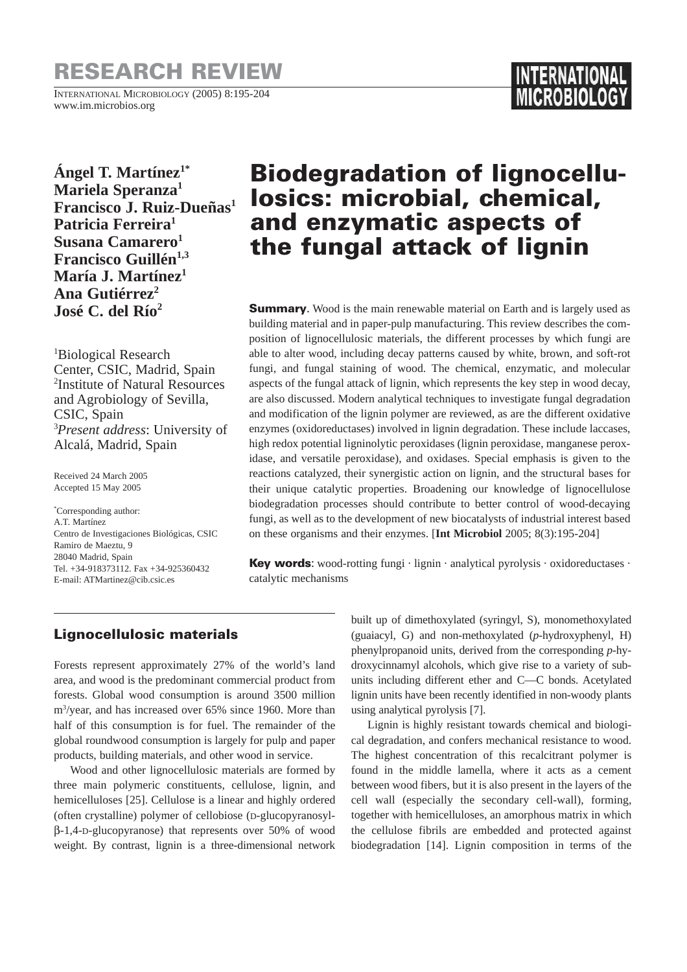# **RESEARCH REVIEW**

INTERNATIONAL MICROBIOLOGY (2005) 8:195-204 www.im.microbios.org

**Ángel T. Martínez1\* Mariela Speranza1 Francisco J. Ruiz-Dueñas1 Patricia Ferreira1 Susana Camarero**<sup>1</sup> **Francisco Guillén**<sup>1,3</sup> **María J. Martínez1** Ana Gutiérrez<sup>2</sup> **José C. del Río2**

1 Biological Research Center, CSIC, Madrid, Spain 2 Institute of Natural Resources and Agrobiology of Sevilla, CSIC, Spain 3 *Present address*: University of Alcalá, Madrid, Spain

Received 24 March 2005 Accepted 15 May 2005

\* Corresponding author: A.T. Martínez Centro de Investigaciones Biológicas, CSIC Ramiro de Maeztu, 9 28040 Madrid, Spain Tel. +34-918373112. Fax +34-925360432 E-mail: ATMartinez@cib.csic.es

# **Biodegradation of lignocellulosics: microbial, chemical, and enzymatic aspects of the fungal attack of lignin**

**Summary**. Wood is the main renewable material on Earth and is largely used as building material and in paper-pulp manufacturing. This review describes the composition of lignocellulosic materials, the different processes by which fungi are able to alter wood, including decay patterns caused by white, brown, and soft-rot fungi, and fungal staining of wood. The chemical, enzymatic, and molecular aspects of the fungal attack of lignin, which represents the key step in wood decay, are also discussed. Modern analytical techniques to investigate fungal degradation and modification of the lignin polymer are reviewed, as are the different oxidative enzymes (oxidoreductases) involved in lignin degradation. These include laccases, high redox potential ligninolytic peroxidases (lignin peroxidase, manganese peroxidase, and versatile peroxidase), and oxidases. Special emphasis is given to the reactions catalyzed, their synergistic action on lignin, and the structural bases for their unique catalytic properties. Broadening our knowledge of lignocellulose biodegradation processes should contribute to better control of wood-decaying fungi, as well as to the development of new biocatalysts of industrial interest based on these organisms and their enzymes. [**Int Microbiol** 2005; 8(3):195-204]

**Key words:** wood-rotting fungi · lignin · analytical pyrolysis · oxidoreductases · catalytic mechanisms

# **Lignocellulosic materials**

Forests represent approximately 27% of the world's land area, and wood is the predominant commercial product from forests. Global wood consumption is around 3500 million m3 /year, and has increased over 65% since 1960. More than half of this consumption is for fuel. The remainder of the global roundwood consumption is largely for pulp and paper products, building materials, and other wood in service.

Wood and other lignocellulosic materials are formed by three main polymeric constituents, cellulose, lignin, and hemicelluloses [25]. Cellulose is a linear and highly ordered (often crystalline) polymer of cellobiose (D-glucopyranosylβ-1,4-D-glucopyranose) that represents over 50% of wood weight. By contrast, lignin is a three-dimensional network built up of dimethoxylated (syringyl, S), monomethoxylated (guaiacyl, G) and non-methoxylated (*p*-hydroxyphenyl, H) phenylpropanoid units, derived from the corresponding *p*-hydroxycinnamyl alcohols, which give rise to a variety of subunits including different ether and C—C bonds. Acetylated lignin units have been recently identified in non-woody plants using analytical pyrolysis [7].

Lignin is highly resistant towards chemical and biological degradation, and confers mechanical resistance to wood. The highest concentration of this recalcitrant polymer is found in the middle lamella, where it acts as a cement between wood fibers, but it is also present in the layers of the cell wall (especially the secondary cell-wall), forming, together with hemicelluloses, an amorphous matrix in which the cellulose fibrils are embedded and protected against biodegradation [14]. Lignin composition in terms of the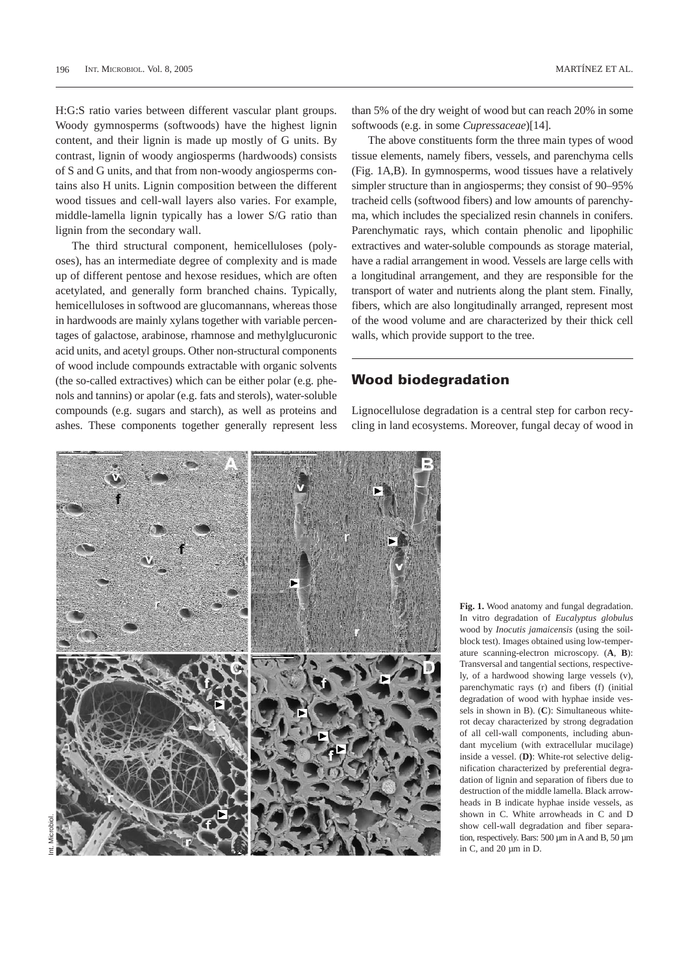H:G:S ratio varies between different vascular plant groups. Woody gymnosperms (softwoods) have the highest lignin content, and their lignin is made up mostly of G units. By contrast, lignin of woody angiosperms (hardwoods) consists of S and G units, and that from non-woody angiosperms contains also H units. Lignin composition between the different wood tissues and cell-wall layers also varies. For example, middle-lamella lignin typically has a lower S/G ratio than lignin from the secondary wall.

The third structural component, hemicelluloses (polyoses), has an intermediate degree of complexity and is made up of different pentose and hexose residues, which are often acetylated, and generally form branched chains. Typically, hemicelluloses in softwood are glucomannans, whereas those in hardwoods are mainly xylans together with variable percentages of galactose, arabinose, rhamnose and methylglucuronic acid units, and acetyl groups. Other non-structural components of wood include compounds extractable with organic solvents (the so-called extractives) which can be either polar (e.g. phenols and tannins) or apolar (e.g. fats and sterols), water-soluble compounds (e.g. sugars and starch), as well as proteins and ashes. These components together generally represent less

than 5% of the dry weight of wood but can reach 20% in some softwoods (e.g. in some *Cupressaceae*)[14].

The above constituents form the three main types of wood tissue elements, namely fibers, vessels, and parenchyma cells (Fig. 1A,B). In gymnosperms, wood tissues have a relatively simpler structure than in angiosperms; they consist of 90–95% tracheid cells (softwood fibers) and low amounts of parenchyma, which includes the specialized resin channels in conifers. Parenchymatic rays, which contain phenolic and lipophilic extractives and water-soluble compounds as storage material, have a radial arrangement in wood. Vessels are large cells with a longitudinal arrangement, and they are responsible for the transport of water and nutrients along the plant stem. Finally, fibers, which are also longitudinally arranged, represent most of the wood volume and are characterized by their thick cell walls, which provide support to the tree.

## **Wood biodegradation**

Lignocellulose degradation is a central step for carbon recycling in land ecosystems. Moreover, fungal decay of wood in



**Fig. 1.** Wood anatomy and fungal degradation. In vitro degradation of *Eucalyptus globulus* wood by *Inocutis jamaicensis* (using the soilblock test). Images obtained using low-temperature scanning-electron microscopy. (**A**, **B**): Transversal and tangential sections, respectively, of a hardwood showing large vessels (v), parenchymatic rays (r) and fibers (f) (initial degradation of wood with hyphae inside vessels in shown in B). (**C**): Simultaneous whiterot decay characterized by strong degradation of all cell-wall components, including abundant mycelium (with extracellular mucilage) inside a vessel. (**D)**: White-rot selective delignification characterized by preferential degradation of lignin and separation of fibers due to destruction of the middle lamella. Black arrowheads in B indicate hyphae inside vessels, as shown in C. White arrowheads in C and D show cell-wall degradation and fiber separation, respectively. Bars: 500 µm in A and B, 50 µm in C, and 20 µm in D.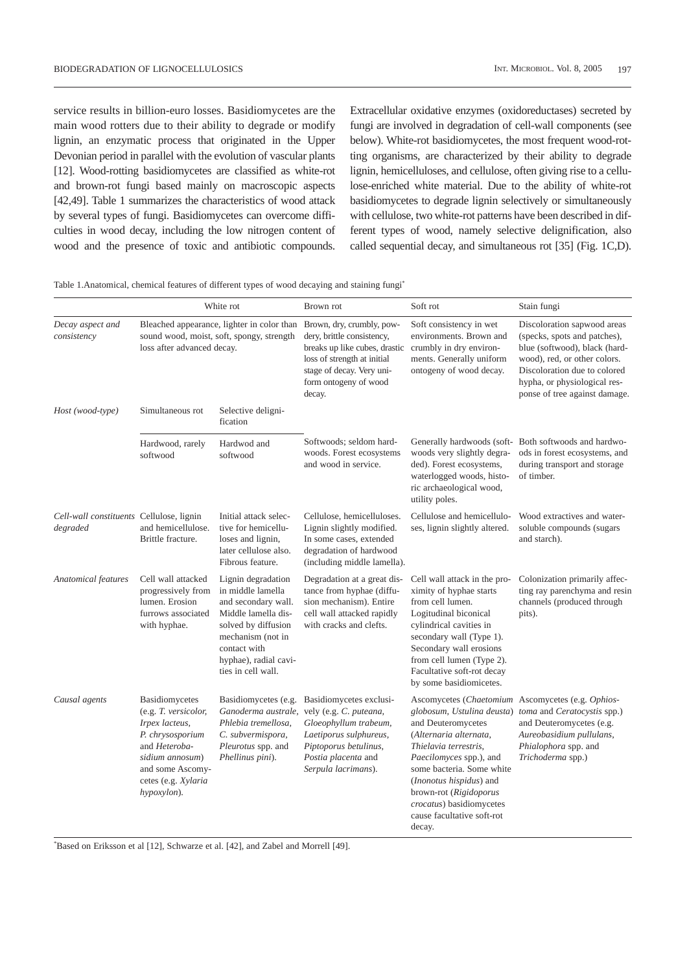service results in billion-euro losses. Basidiomycetes are the main wood rotters due to their ability to degrade or modify lignin, an enzymatic process that originated in the Upper Devonian period in parallel with the evolution of vascular plants [12]. Wood-rotting basidiomycetes are classified as white-rot and brown-rot fungi based mainly on macroscopic aspects [42,49]. Table 1 summarizes the characteristics of wood attack by several types of fungi. Basidiomycetes can overcome difficulties in wood decay, including the low nitrogen content of wood and the presence of toxic and antibiotic compounds.

Extracellular oxidative enzymes (oxidoreductases) secreted by fungi are involved in degradation of cell-wall components (see below). White-rot basidiomycetes, the most frequent wood-rotting organisms, are characterized by their ability to degrade lignin, hemicelluloses, and cellulose, often giving rise to a cellulose-enriched white material. Due to the ability of white-rot basidiomycetes to degrade lignin selectively or simultaneously with cellulose, two white-rot patterns have been described in different types of wood, namely selective delignification, also called sequential decay, and simultaneous rot [35] (Fig. 1C,D).

Table 1.Anatomical, chemical features of different types of wood decaying and staining fungi\*

|                                                      | White rot                                                                                                                                                                  |                                                                                                                                                                                                  | Brown rot                                                                                                                                                                               | Soft rot                                                                                                                                                                                                                                                                             | Stain fungi                                                                                                                                                                                                                   |
|------------------------------------------------------|----------------------------------------------------------------------------------------------------------------------------------------------------------------------------|--------------------------------------------------------------------------------------------------------------------------------------------------------------------------------------------------|-----------------------------------------------------------------------------------------------------------------------------------------------------------------------------------------|--------------------------------------------------------------------------------------------------------------------------------------------------------------------------------------------------------------------------------------------------------------------------------------|-------------------------------------------------------------------------------------------------------------------------------------------------------------------------------------------------------------------------------|
| Decay aspect and<br>consistency                      | Bleached appearance, lighter in color than<br>sound wood, moist, soft, spongy, strength<br>loss after advanced decay.                                                      |                                                                                                                                                                                                  | Brown, dry, crumbly, pow-<br>dery, brittle consistency,<br>breaks up like cubes, drastic<br>loss of strength at initial<br>stage of decay. Very uni-<br>form ontogeny of wood<br>decay. | Soft consistency in wet<br>environments. Brown and<br>crumbly in dry environ-<br>ments. Generally uniform<br>ontogeny of wood decay.                                                                                                                                                 | Discoloration sapwood areas<br>(specks, spots and patches),<br>blue (softwood), black (hard-<br>wood), red, or other colors.<br>Discoloration due to colored<br>hypha, or physiological res-<br>ponse of tree against damage. |
| Host (wood-type)                                     | Simultaneous rot                                                                                                                                                           | Selective deligni-<br>fication                                                                                                                                                                   |                                                                                                                                                                                         |                                                                                                                                                                                                                                                                                      |                                                                                                                                                                                                                               |
|                                                      | Hardwood, rarely<br>softwood                                                                                                                                               | Hardwod and<br>softwood                                                                                                                                                                          | Softwoods: seldom hard-<br>woods. Forest ecosystems<br>and wood in service.                                                                                                             | woods very slightly degra-<br>ded). Forest ecosystems,<br>waterlogged woods, histo-<br>ric archaeological wood,<br>utility poles.                                                                                                                                                    | Generally hardwoods (soft- Both softwoods and hardwo-<br>ods in forest ecosystems, and<br>during transport and storage<br>of timber.                                                                                          |
| Cell-wall constituents Cellulose, lignin<br>degraded | and hemicellulose.<br>Brittle fracture.                                                                                                                                    | Initial attack selec-<br>tive for hemicellu-<br>loses and lignin,<br>later cellulose also.<br>Fibrous feature.                                                                                   | Cellulose, hemicelluloses.<br>Lignin slightly modified.<br>In some cases, extended<br>degradation of hardwood<br>(including middle lamella).                                            | Cellulose and hemicellulo-<br>ses, lignin slightly altered.                                                                                                                                                                                                                          | Wood extractives and water-<br>soluble compounds (sugars<br>and starch).                                                                                                                                                      |
| Anatomical features                                  | Cell wall attacked<br>progressively from<br>lumen. Erosion<br>furrows associated<br>with hyphae.                                                                           | Lignin degradation<br>in middle lamella<br>and secondary wall.<br>Middle lamella dis-<br>solved by diffusion<br>mechanism (not in<br>contact with<br>hyphae), radial cavi-<br>ties in cell wall. | Degradation at a great dis-<br>tance from hyphae (diffu-<br>sion mechanism). Entire<br>cell wall attacked rapidly<br>with cracks and clefts.                                            | Cell wall attack in the pro-<br>ximity of hyphae starts<br>from cell lumen.<br>Logitudinal biconical<br>cylindrical cavities in<br>secondary wall (Type 1).<br>Secondary wall erosions<br>from cell lumen (Type 2).<br>Facultative soft-rot decay<br>by some basidiomicetes.         | Colonization primarily affec-<br>ting ray parenchyma and resin<br>channels (produced through<br>pits).                                                                                                                        |
| Causal agents                                        | Basidiomycetes<br>(e.g. T. versicolor,<br>Irpex lacteus,<br>P. chrysosporium<br>and Heteroba-<br>sidium annosum)<br>and some Ascomy-<br>cetes (e.g. Xylaria<br>hypoxylon). | Basidiomycetes (e.g.<br>Ganoderma australe.<br>Phlebia tremellosa,<br>C. subvermispora,<br>Pleurotus spp. and<br>Phellinus pini).                                                                | Basidiomycetes exclusi-<br>vely (e.g. C. puteana,<br>Gloeophyllum trabeum,<br>Laetiporus sulphureus,<br>Piptoporus betulinus,<br>Postia placenta and<br>Serpula lacrimans).             | globosum, Ustulina deusta)<br>and Deuteromycetes<br>(Alternaria alternata,<br>Thielavia terrestris,<br>Paecilomyces spp.), and<br>some bacteria. Some white<br>(Inonotus hispidus) and<br>brown-rot (Rigidoporus<br>crocatus) basidiomycetes<br>cause facultative soft-rot<br>decay. | Ascomycetes (Chaetomium Ascomycetes (e.g. Ophios-<br>toma and Ceratocystis spp.)<br>and Deuteromycetes (e.g.<br>Aureobasidium pullulans,<br>Phialophora spp. and<br>Trichoderma spp.)                                         |

\* Based on Eriksson et al [12], Schwarze et al. [42], and Zabel and Morrell [49].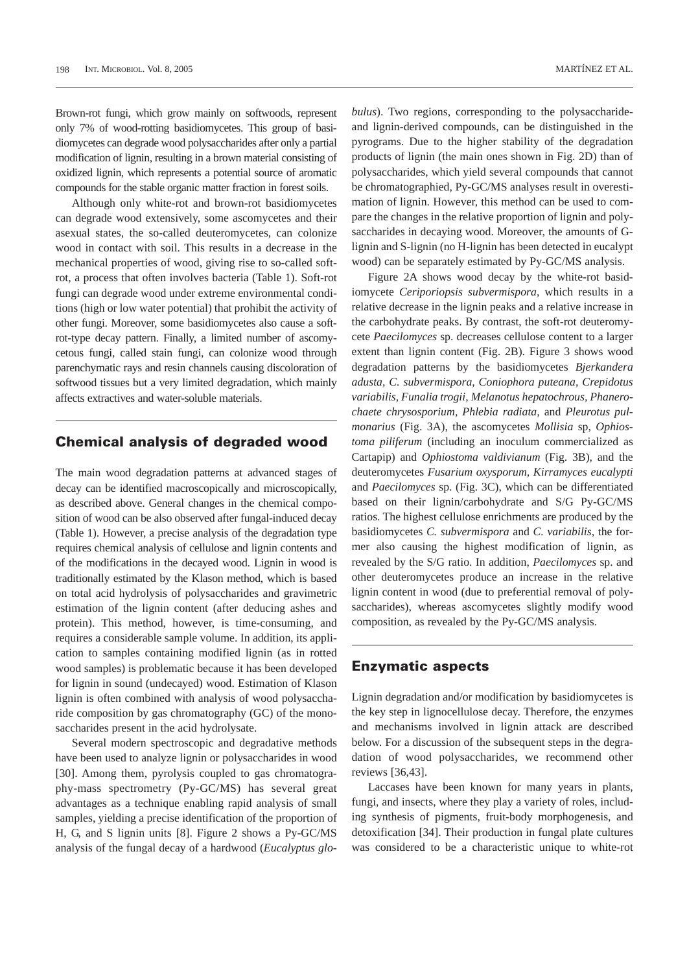Brown-rot fungi, which grow mainly on softwoods, represent only 7% of wood-rotting basidiomycetes. This group of basidiomycetes can degrade wood polysaccharides after only a partial modification of lignin, resulting in a brown material consisting of oxidized lignin, which represents a potential source of aromatic compounds for the stable organic matter fraction in forest soils.

Although only white-rot and brown-rot basidiomycetes can degrade wood extensively, some ascomycetes and their asexual states, the so-called deuteromycetes, can colonize wood in contact with soil. This results in a decrease in the mechanical properties of wood, giving rise to so-called softrot, a process that often involves bacteria (Table 1). Soft-rot fungi can degrade wood under extreme environmental conditions (high or low water potential) that prohibit the activity of other fungi. Moreover, some basidiomycetes also cause a softrot-type decay pattern. Finally, a limited number of ascomycetous fungi, called stain fungi, can colonize wood through parenchymatic rays and resin channels causing discoloration of softwood tissues but a very limited degradation, which mainly affects extractives and water-soluble materials.

### **Chemical analysis of degraded wood**

The main wood degradation patterns at advanced stages of decay can be identified macroscopically and microscopically, as described above. General changes in the chemical composition of wood can be also observed after fungal-induced decay (Table 1). However, a precise analysis of the degradation type requires chemical analysis of cellulose and lignin contents and of the modifications in the decayed wood. Lignin in wood is traditionally estimated by the Klason method, which is based on total acid hydrolysis of polysaccharides and gravimetric estimation of the lignin content (after deducing ashes and protein). This method, however, is time-consuming, and requires a considerable sample volume. In addition, its application to samples containing modified lignin (as in rotted wood samples) is problematic because it has been developed for lignin in sound (undecayed) wood. Estimation of Klason lignin is often combined with analysis of wood polysaccharide composition by gas chromatography (GC) of the monosaccharides present in the acid hydrolysate.

Several modern spectroscopic and degradative methods have been used to analyze lignin or polysaccharides in wood [30]. Among them, pyrolysis coupled to gas chromatography-mass spectrometry (Py-GC/MS) has several great advantages as a technique enabling rapid analysis of small samples, yielding a precise identification of the proportion of H, G, and S lignin units [8]. Figure 2 shows a Py-GC/MS analysis of the fungal decay of a hardwood (*Eucalyptus glo-* *bulus*). Two regions, corresponding to the polysaccharideand lignin-derived compounds, can be distinguished in the pyrograms. Due to the higher stability of the degradation products of lignin (the main ones shown in Fig. 2D) than of polysaccharides, which yield several compounds that cannot be chromatographied, Py-GC/MS analyses result in overestimation of lignin. However, this method can be used to compare the changes in the relative proportion of lignin and polysaccharides in decaying wood. Moreover, the amounts of Glignin and S-lignin (no H-lignin has been detected in eucalypt wood) can be separately estimated by Py-GC/MS analysis.

Figure 2A shows wood decay by the white-rot basidiomycete *Ceriporiopsis subvermispora*, which results in a relative decrease in the lignin peaks and a relative increase in the carbohydrate peaks. By contrast, the soft-rot deuteromycete *Paecilomyces* sp. decreases cellulose content to a larger extent than lignin content (Fig. 2B). Figure 3 shows wood degradation patterns by the basidiomycetes *Bjerkandera adusta, C. subvermispora, Coniophora puteana, Crepidotus variabilis, Funalia trogii, Melanotus hepatochrous, Phanerochaete chrysosporium, Phlebia radiata,* and *Pleurotus pulmonarius* (Fig. 3A), the ascomycetes *Mollisia* sp, *Ophiostoma piliferum* (including an inoculum commercialized as Cartapip) and *Ophiostoma valdivianum* (Fig. 3B), and the deuteromycetes *Fusarium oxysporum, Kirramyces eucalypti* and *Paecilomyces* sp. (Fig. 3C), which can be differentiated based on their lignin/carbohydrate and S/G Py-GC/MS ratios. The highest cellulose enrichments are produced by the basidiomycetes *C. subvermispora* and *C. variabilis*, the former also causing the highest modification of lignin, as revealed by the S/G ratio. In addition, *Paecilomyces* sp. and other deuteromycetes produce an increase in the relative lignin content in wood (due to preferential removal of polysaccharides), whereas ascomycetes slightly modify wood composition, as revealed by the Py-GC/MS analysis.

### **Enzymatic aspects**

Lignin degradation and/or modification by basidiomycetes is the key step in lignocellulose decay. Therefore, the enzymes and mechanisms involved in lignin attack are described below. For a discussion of the subsequent steps in the degradation of wood polysaccharides, we recommend other reviews [36,43].

Laccases have been known for many years in plants, fungi, and insects, where they play a variety of roles, including synthesis of pigments, fruit-body morphogenesis, and detoxification [34]. Their production in fungal plate cultures was considered to be a characteristic unique to white-rot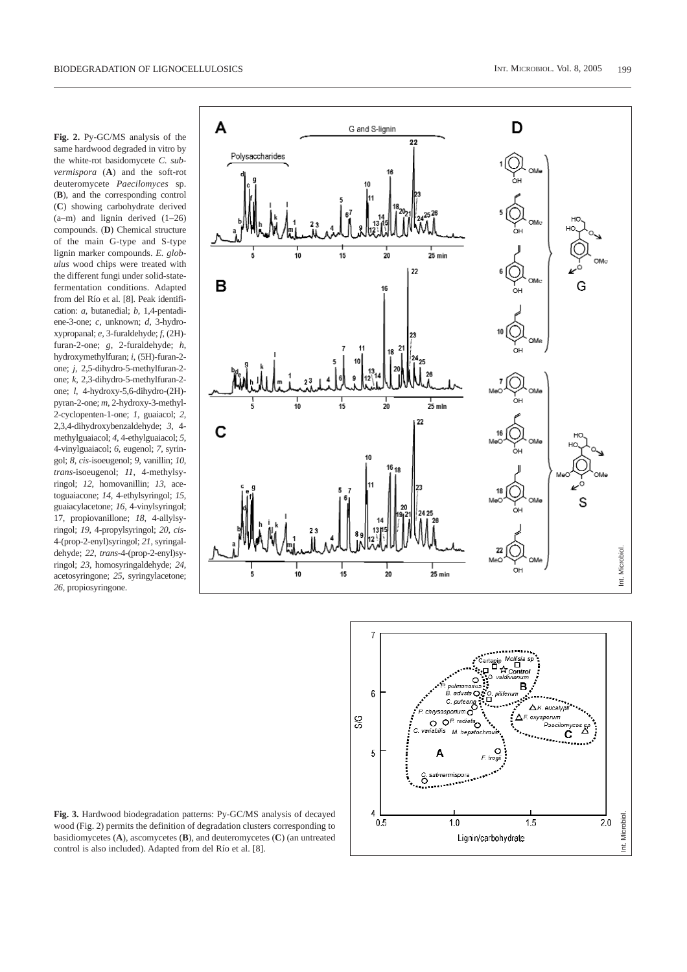**Fig. 2.** Py-GC/MS analysis of the same hardwood degraded in vitro by the white-rot basidomycete *C. subvermispora* (**A**) and the soft-rot deuteromycete *Paecilomyces* sp. (**B**), and the corresponding control (**C**) showing carbohydrate derived (a–m) and lignin derived (1–26) compounds. (**D**) Chemical structure of the main G-type and S-type lignin marker compounds. *E. globulus* wood chips were treated with the different fungi under solid-statefermentation conditions. Adapted from del Río et al. [8]. Peak identification: *a*, butanedial; *b*, 1,4-pentadiene-3-one; *c*, unknown; *d*, 3-hydroxypropanal; *e*, 3-furaldehyde; *f*, (2H) furan-2-one; *g*, 2-furaldehyde; *h*, hydroxymethylfuran; *i*, (5H)-furan-2 one; *j*, 2,5-dihydro-5-methylfuran-2 one; *k*, 2,3-dihydro-5-methylfuran-2 one; *l*, 4-hydroxy-5,6-dihydro-(2H) pyran-2-one; *m*, 2-hydroxy-3-methyl-2-cyclopenten-1-one; *1*, guaiacol; *2*, 2,3,4-dihydroxybenzaldehyde; *3*, 4 methylguaiacol; *4*, 4-ethylguaiacol; *5*, 4-vinylguaiacol; *6*, eugenol; *7*, syringol; *8*, *cis*-isoeugenol; *9*, vanillin; *10*, *trans*-isoeugenol; *11*, 4-methylsyringol; *12*, homovanillin; *13*, acetoguaiacone; *14*, 4-ethylsyringol; *15*, guaiacylacetone; *16*, 4-vinylsyringol; 17, propiovanillone; *18*, 4-allylsyringol; *19*, 4-propylsyringol; *20*, *cis*-4-(prop-2-enyl)syringol; *21*, syringaldehyde; *22*, *trans*-4-(prop-2-enyl)syringol; *23*, homosyringaldehyde; *24*, acetosyringone; *25*, syringylacetone; *26*, propiosyringone.





**Fig. 3.** Hardwood biodegradation patterns: Py-GC/MS analysis of decayed wood (Fig. 2) permits the definition of degradation clusters corresponding to basidiomycetes (**A**), ascomycetes (**B**), and deuteromycetes (**C**) (an untreated control is also included). Adapted from del Río et al. [8].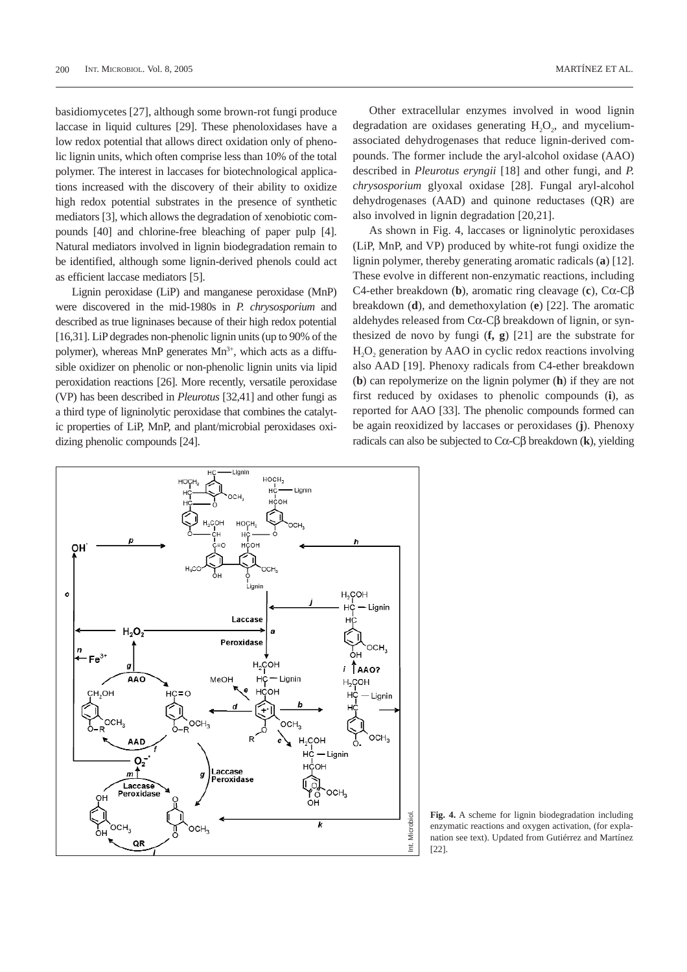basidiomycetes [27], although some brown-rot fungi produce laccase in liquid cultures [29]. These phenoloxidases have a low redox potential that allows direct oxidation only of phenolic lignin units, which often comprise less than 10% of the total polymer. The interest in laccases for biotechnological applications increased with the discovery of their ability to oxidize high redox potential substrates in the presence of synthetic mediators [3], which allows the degradation of xenobiotic compounds [40] and chlorine-free bleaching of paper pulp [4]. Natural mediators involved in lignin biodegradation remain to be identified, although some lignin-derived phenols could act as efficient laccase mediators [5].

Lignin peroxidase (LiP) and manganese peroxidase (MnP) were discovered in the mid-1980s in *P. chrysosporium* and described as true ligninases because of their high redox potential [16,31]. LiP degrades non-phenolic lignin units (up to 90% of the polymer), whereas MnP generates  $Mn^{3+}$ , which acts as a diffusible oxidizer on phenolic or non-phenolic lignin units via lipid peroxidation reactions [26]. More recently, versatile peroxidase (VP) has been described in *Pleurotus* [32,41] and other fungi as a third type of ligninolytic peroxidase that combines the catalytic properties of LiP, MnP, and plant/microbial peroxidases oxidizing phenolic compounds [24].

Other extracellular enzymes involved in wood lignin degradation are oxidases generating  $H<sub>2</sub>O<sub>2</sub>$ , and myceliumassociated dehydrogenases that reduce lignin-derived compounds. The former include the aryl-alcohol oxidase (AAO) described in *Pleurotus eryngii* [18] and other fungi, and *P. chrysosporium* glyoxal oxidase [28]. Fungal aryl-alcohol dehydrogenases (AAD) and quinone reductases (QR) are also involved in lignin degradation [20,21].

As shown in Fig. 4, laccases or ligninolytic peroxidases (LiP, MnP, and VP) produced by white-rot fungi oxidize the lignin polymer, thereby generating aromatic radicals (**a**) [12]. These evolve in different non-enzymatic reactions, including C4-ether breakdown (**b**), aromatic ring cleavage (**c**), Cα-Cβ breakdown (**d**), and demethoxylation (**e**) [22]. The aromatic aldehydes released from Cα-Cβ breakdown of lignin, or synthesized de novo by fungi (**f, g**) [21] are the substrate for H<sub>2</sub>O<sub>2</sub> generation by AAO in cyclic redox reactions involving also AAD [19]. Phenoxy radicals from C4-ether breakdown (**b**) can repolymerize on the lignin polymer (**h**) if they are not first reduced by oxidases to phenolic compounds (**i**), as reported for AAO [33]. The phenolic compounds formed can be again reoxidized by laccases or peroxidases (**j**). Phenoxy radicals can also be subjected to Cα-Cβ breakdown (**k**), yielding



**Fig. 4.** A scheme for lignin biodegradation including enzymatic reactions and oxygen activation, (for explanation see text). Updated from Gutiérrez and Martínez [22].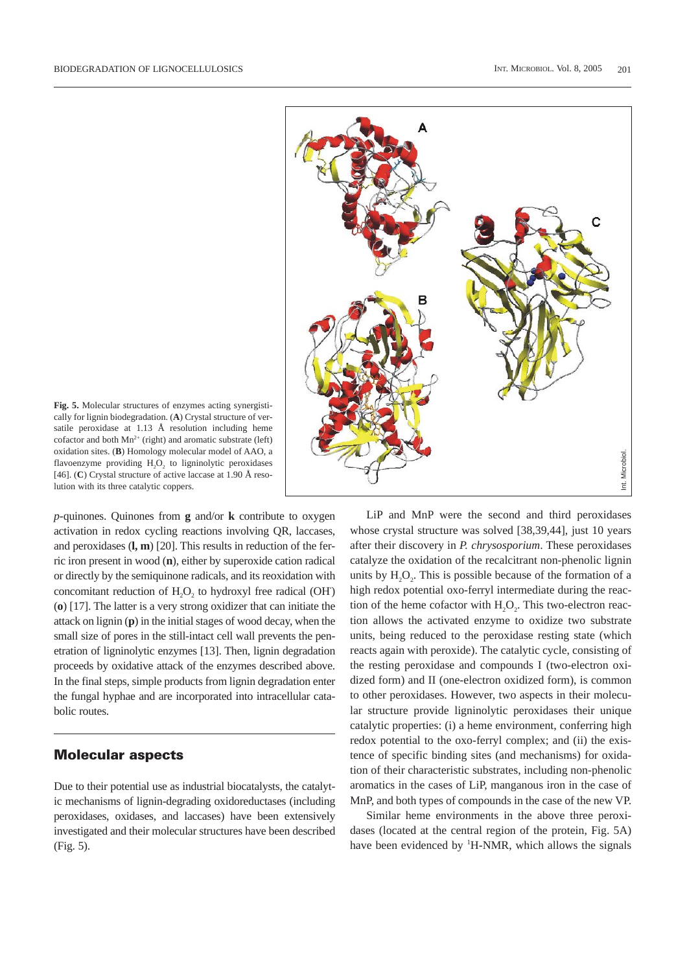

**Fig. 5.** Molecular structures of enzymes acting synergistically for lignin biodegradation. (**A**) Crystal structure of versatile peroxidase at 1.13 Å resolution including heme cofactor and both  $Mn^{2+}$  (right) and aromatic substrate (left) oxidation sites. (**B**) Homology molecular model of AAO, a flavoenzyme providing H<sub>2</sub>O<sub>2</sub> to ligninolytic peroxidases [46]. (**C**) Crystal structure of active laccase at 1.90 Å resolution with its three catalytic coppers.

*p*-quinones. Quinones from **g** and/or **k** contribute to oxygen activation in redox cycling reactions involving QR, laccases, and peroxidases (**l, m**) [20]. This results in reduction of the ferric iron present in wood (**n**), either by superoxide cation radical or directly by the semiquinone radicals, and its reoxidation with concomitant reduction of H<sub>2</sub>O<sub>2</sub> to hydroxyl free radical (OH) (**o**) [17]. The latter is a very strong oxidizer that can initiate the attack on lignin (**p**) in the initial stages of wood decay, when the small size of pores in the still-intact cell wall prevents the penetration of ligninolytic enzymes [13]. Then, lignin degradation proceeds by oxidative attack of the enzymes described above. In the final steps, simple products from lignin degradation enter the fungal hyphae and are incorporated into intracellular catabolic routes.

### **Molecular aspects**

Due to their potential use as industrial biocatalysts, the catalytic mechanisms of lignin-degrading oxidoreductases (including peroxidases, oxidases, and laccases) have been extensively investigated and their molecular structures have been described (Fig. 5).

LiP and MnP were the second and third peroxidases whose crystal structure was solved [38,39,44], just 10 years after their discovery in *P. chrysosporium*. These peroxidases catalyze the oxidation of the recalcitrant non-phenolic lignin units by  $H<sub>2</sub>O<sub>2</sub>$ . This is possible because of the formation of a high redox potential oxo-ferryl intermediate during the reaction of the heme cofactor with  $H<sub>2</sub>O<sub>2</sub>$ . This two-electron reaction allows the activated enzyme to oxidize two substrate units, being reduced to the peroxidase resting state (which reacts again with peroxide). The catalytic cycle, consisting of the resting peroxidase and compounds I (two-electron oxidized form) and II (one-electron oxidized form), is common to other peroxidases. However, two aspects in their molecular structure provide ligninolytic peroxidases their unique catalytic properties: (i) a heme environment, conferring high redox potential to the oxo-ferryl complex; and (ii) the existence of specific binding sites (and mechanisms) for oxidation of their characteristic substrates, including non-phenolic aromatics in the cases of LiP, manganous iron in the case of MnP, and both types of compounds in the case of the new VP.

Similar heme environments in the above three peroxidases (located at the central region of the protein, Fig. 5A) have been evidenced by <sup>1</sup>H-NMR, which allows the signals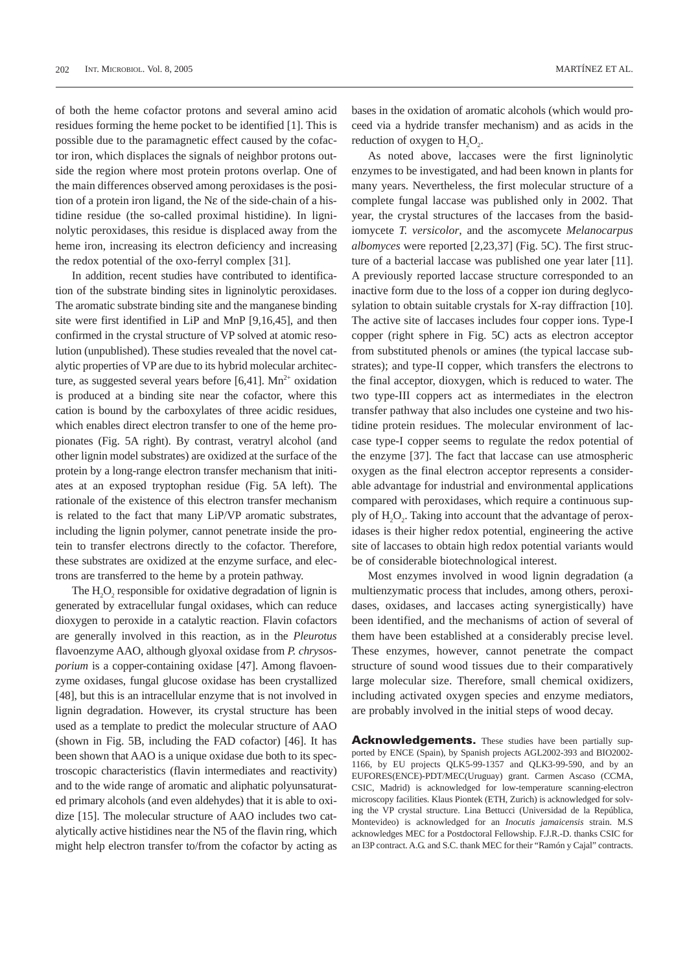of both the heme cofactor protons and several amino acid residues forming the heme pocket to be identified [1]. This is possible due to the paramagnetic effect caused by the cofactor iron, which displaces the signals of neighbor protons outside the region where most protein protons overlap. One of the main differences observed among peroxidases is the position of a protein iron ligand, the Nε of the side-chain of a histidine residue (the so-called proximal histidine). In ligninolytic peroxidases, this residue is displaced away from the heme iron, increasing its electron deficiency and increasing the redox potential of the oxo-ferryl complex [31].

In addition, recent studies have contributed to identification of the substrate binding sites in ligninolytic peroxidases. The aromatic substrate binding site and the manganese binding site were first identified in LiP and MnP [9,16,45], and then confirmed in the crystal structure of VP solved at atomic resolution (unpublished). These studies revealed that the novel catalytic properties of VP are due to its hybrid molecular architecture, as suggested several years before [6,41].  $Mn^{2+}$  oxidation is produced at a binding site near the cofactor, where this cation is bound by the carboxylates of three acidic residues, which enables direct electron transfer to one of the heme propionates (Fig. 5A right). By contrast, veratryl alcohol (and other lignin model substrates) are oxidized at the surface of the protein by a long-range electron transfer mechanism that initiates at an exposed tryptophan residue (Fig. 5A left). The rationale of the existence of this electron transfer mechanism is related to the fact that many LiP/VP aromatic substrates, including the lignin polymer, cannot penetrate inside the protein to transfer electrons directly to the cofactor. Therefore, these substrates are oxidized at the enzyme surface, and electrons are transferred to the heme by a protein pathway.

The  $H<sub>2</sub>O<sub>2</sub>$  responsible for oxidative degradation of lignin is generated by extracellular fungal oxidases, which can reduce dioxygen to peroxide in a catalytic reaction. Flavin cofactors are generally involved in this reaction, as in the *Pleurotus* flavoenzyme AAO, although glyoxal oxidase from *P. chrysosporium* is a copper-containing oxidase [47]. Among flavoenzyme oxidases, fungal glucose oxidase has been crystallized [48], but this is an intracellular enzyme that is not involved in lignin degradation. However, its crystal structure has been used as a template to predict the molecular structure of AAO (shown in Fig. 5B, including the FAD cofactor) [46]. It has been shown that AAO is a unique oxidase due both to its spectroscopic characteristics (flavin intermediates and reactivity) and to the wide range of aromatic and aliphatic polyunsaturated primary alcohols (and even aldehydes) that it is able to oxidize [15]. The molecular structure of AAO includes two catalytically active histidines near the N5 of the flavin ring, which might help electron transfer to/from the cofactor by acting as

bases in the oxidation of aromatic alcohols (which would proceed via a hydride transfer mechanism) and as acids in the reduction of oxygen to  $H<sub>2</sub>O<sub>2</sub>$ .

As noted above, laccases were the first ligninolytic enzymes to be investigated, and had been known in plants for many years. Nevertheless, the first molecular structure of a complete fungal laccase was published only in 2002. That year, the crystal structures of the laccases from the basidiomycete *T. versicolor*, and the ascomycete *Melanocarpus albomyces* were reported [2,23,37] (Fig. 5C). The first structure of a bacterial laccase was published one year later [11]. A previously reported laccase structure corresponded to an inactive form due to the loss of a copper ion during deglycosylation to obtain suitable crystals for X-ray diffraction [10]. The active site of laccases includes four copper ions. Type-I copper (right sphere in Fig. 5C) acts as electron acceptor from substituted phenols or amines (the typical laccase substrates); and type-II copper, which transfers the electrons to the final acceptor, dioxygen, which is reduced to water. The two type-III coppers act as intermediates in the electron transfer pathway that also includes one cysteine and two histidine protein residues. The molecular environment of laccase type-I copper seems to regulate the redox potential of the enzyme [37]. The fact that laccase can use atmospheric oxygen as the final electron acceptor represents a considerable advantage for industrial and environmental applications compared with peroxidases, which require a continuous supply of  $H<sub>2</sub>O<sub>2</sub>$ . Taking into account that the advantage of peroxidases is their higher redox potential, engineering the active site of laccases to obtain high redox potential variants would be of considerable biotechnological interest.

Most enzymes involved in wood lignin degradation (a multienzymatic process that includes, among others, peroxidases, oxidases, and laccases acting synergistically) have been identified, and the mechanisms of action of several of them have been established at a considerably precise level. These enzymes, however, cannot penetrate the compact structure of sound wood tissues due to their comparatively large molecular size. Therefore, small chemical oxidizers, including activated oxygen species and enzyme mediators, are probably involved in the initial steps of wood decay.

**Acknowledgements.** These studies have been partially supported by ENCE (Spain), by Spanish projects AGL2002-393 and BIO2002- 1166, by EU projects QLK5-99-1357 and QLK3-99-590, and by an EUFORES(ENCE)-PDT/MEC(Uruguay) grant. Carmen Ascaso (CCMA, CSIC, Madrid) is acknowledged for low-temperature scanning-electron microscopy facilities. Klaus Piontek (ETH, Zurich) is acknowledged for solving the VP crystal structure. Lina Bettucci (Universidad de la República, Montevideo) is acknowledged for an *Inocutis jamaicensis* strain. M.S acknowledges MEC for a Postdoctoral Fellowship. F.J.R.-D. thanks CSIC for an I3P contract. A.G. and S.C. thank MEC for their "Ramón y Cajal" contracts.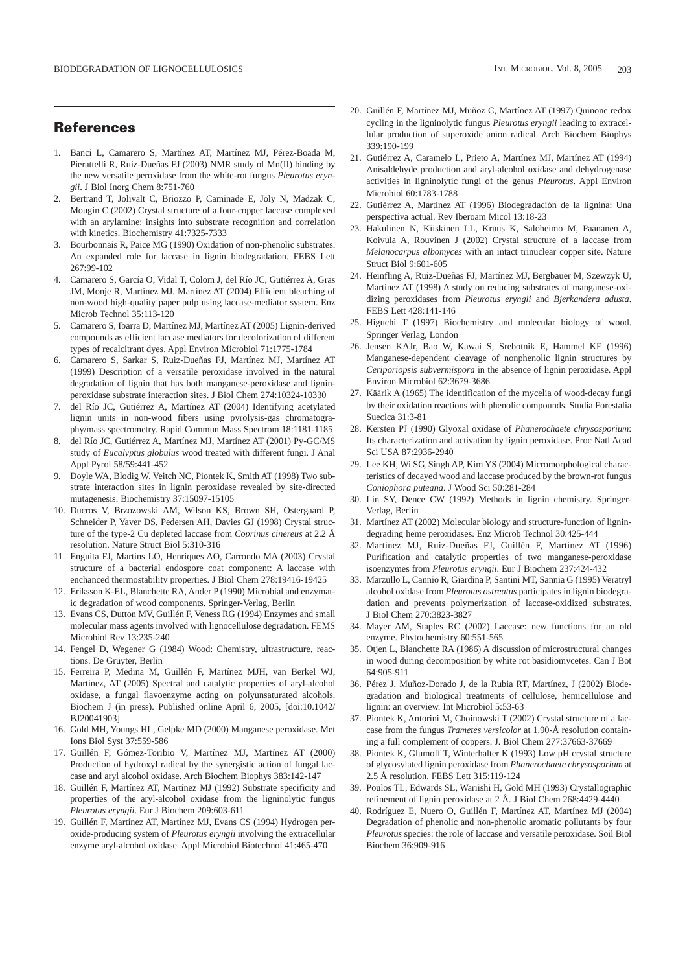#### **References**

- 1. Banci L, Camarero S, Martínez AT, Martínez MJ, Pérez-Boada M, Pierattelli R, Ruiz-Dueñas FJ (2003) NMR study of Mn(II) binding by the new versatile peroxidase from the white-rot fungus *Pleurotus eryngii*. J Biol Inorg Chem 8:751-760
- 2. Bertrand T, Jolivalt C, Briozzo P, Caminade E, Joly N, Madzak C, Mougin C (2002) Crystal structure of a four-copper laccase complexed with an arylamine: insights into substrate recognition and correlation with kinetics. Biochemistry 41:7325-7333
- 3. Bourbonnais R, Paice MG (1990) Oxidation of non-phenolic substrates. An expanded role for laccase in lignin biodegradation. FEBS Lett 267:99-102
- 4. Camarero S, García O, Vidal T, Colom J, del Río JC, Gutiérrez A, Gras JM, Monje R, Martínez MJ, Martínez AT (2004) Efficient bleaching of non-wood high-quality paper pulp using laccase-mediator system. Enz Microb Technol 35:113-120
- 5. Camarero S, Ibarra D, Martínez MJ, Martínez AT (2005) Lignin-derived compounds as efficient laccase mediators for decolorization of different types of recalcitrant dyes. Appl Environ Microbiol 71:1775-1784
- 6. Camarero S, Sarkar S, Ruiz-Dueñas FJ, Martínez MJ, Martínez AT (1999) Description of a versatile peroxidase involved in the natural degradation of lignin that has both manganese-peroxidase and ligninperoxidase substrate interaction sites. J Biol Chem 274:10324-10330
- 7. del Río JC, Gutiérrez A, Martínez AT (2004) Identifying acetylated lignin units in non-wood fibers using pyrolysis-gas chromatography/mass spectrometry. Rapid Commun Mass Spectrom 18:1181-1185
- 8. del Río JC, Gutiérrez A, Martínez MJ, Martínez AT (2001) Py-GC/MS study of *Eucalyptus globulus* wood treated with different fungi. J Anal Appl Pyrol 58/59:441-452
- 9. Doyle WA, Blodig W, Veitch NC, Piontek K, Smith AT (1998) Two substrate interaction sites in lignin peroxidase revealed by site-directed mutagenesis. Biochemistry 37:15097-15105
- 10. Ducros V, Brzozowski AM, Wilson KS, Brown SH, Ostergaard P, Schneider P, Yaver DS, Pedersen AH, Davies GJ (1998) Crystal structure of the type-2 Cu depleted laccase from *Coprinus cinereus* at 2.2 Å resolution. Nature Struct Biol 5:310-316
- 11. Enguita FJ, Martins LO, Henriques AO, Carrondo MA (2003) Crystal structure of a bacterial endospore coat component: A laccase with enchanced thermostability properties. J Biol Chem 278:19416-19425
- 12. Eriksson K-EL, Blanchette RA, Ander P (1990) Microbial and enzymatic degradation of wood components. Springer-Verlag, Berlin
- 13. Evans CS, Dutton MV, Guillén F, Veness RG (1994) Enzymes and small molecular mass agents involved with lignocellulose degradation. FEMS Microbiol Rev 13:235-240
- 14. Fengel D, Wegener G (1984) Wood: Chemistry, ultrastructure, reactions. De Gruyter, Berlin
- 15. Ferreira P, Medina M, Guillén F, Martínez MJH, van Berkel WJ, Martínez, AT (2005) Spectral and catalytic properties of aryl-alcohol oxidase, a fungal flavoenzyme acting on polyunsaturated alcohols. Biochem J (in press). Published online April 6, 2005, [doi:10.1042/ BJ20041903]
- 16. Gold MH, Youngs HL, Gelpke MD (2000) Manganese peroxidase. Met Ions Biol Syst 37:559-586
- 17. Guillén F, Gómez-Toribio V, Martínez MJ, Martínez AT (2000) Production of hydroxyl radical by the synergistic action of fungal laccase and aryl alcohol oxidase. Arch Biochem Biophys 383:142-147
- 18. Guillén F, Martínez AT, Martínez MJ (1992) Substrate specificity and properties of the aryl-alcohol oxidase from the ligninolytic fungus *Pleurotus eryngii*. Eur J Biochem 209:603-611
- 19. Guillén F, Martínez AT, Martínez MJ, Evans CS (1994) Hydrogen peroxide-producing system of *Pleurotus eryngii* involving the extracellular enzyme aryl-alcohol oxidase. Appl Microbiol Biotechnol 41:465-470
- 20. Guillén F, Martínez MJ, Muñoz C, Martínez AT (1997) Quinone redox cycling in the ligninolytic fungus *Pleurotus eryngii* leading to extracellular production of superoxide anion radical. Arch Biochem Biophys 339:190-199
- 21. Gutiérrez A, Caramelo L, Prieto A, Martínez MJ, Martínez AT (1994) Anisaldehyde production and aryl-alcohol oxidase and dehydrogenase activities in ligninolytic fungi of the genus *Pleurotus*. Appl Environ Microbiol 60:1783-1788
- 22. Gutiérrez A, Martínez AT (1996) Biodegradación de la lignina: Una perspectiva actual. Rev Iberoam Micol 13:18-23
- 23. Hakulinen N, Kiiskinen LL, Kruus K, Saloheimo M, Paananen A, Koivula A, Rouvinen J (2002) Crystal structure of a laccase from *Melanocarpus albomyces* with an intact trinuclear copper site. Nature Struct Biol 9:601-605
- 24. Heinfling A, Ruiz-Dueñas FJ, Martínez MJ, Bergbauer M, Szewzyk U, Martínez AT (1998) A study on reducing substrates of manganese-oxidizing peroxidases from *Pleurotus eryngii* and *Bjerkandera adusta*. FEBS Lett 428:141-146
- 25. Higuchi T (1997) Biochemistry and molecular biology of wood. Springer Verlag, London
- 26. Jensen KAJr, Bao W, Kawai S, Srebotnik E, Hammel KE (1996) Manganese-dependent cleavage of nonphenolic lignin structures by *Ceriporiopsis subvermispora* in the absence of lignin peroxidase. Appl Environ Microbiol 62:3679-3686
- 27. Käärik A (1965) The identification of the mycelia of wood-decay fungi by their oxidation reactions with phenolic compounds. Studia Forestalia Suecica 31:3-81
- 28. Kersten PJ (1990) Glyoxal oxidase of *Phanerochaete chrysosporium*: Its characterization and activation by lignin peroxidase. Proc Natl Acad Sci USA 87:2936-2940
- 29. Lee KH, Wi SG, Singh AP, Kim YS (2004) Micromorphological characteristics of decayed wood and laccase produced by the brown-rot fungus *Coniophora puteana*. J Wood Sci 50:281-284
- 30. Lin SY, Dence CW (1992) Methods in lignin chemistry. Springer-Verlag, Berlin
- 31. Martínez AT (2002) Molecular biology and structure-function of lignindegrading heme peroxidases. Enz Microb Technol 30:425-444
- 32. Martínez MJ, Ruiz-Dueñas FJ, Guillén F, Martínez AT (1996) Purification and catalytic properties of two manganese-peroxidase isoenzymes from *Pleurotus eryngii*. Eur J Biochem 237:424-432
- 33. Marzullo L, Cannio R, Giardina P, Santini MT, Sannia G (1995) Veratryl alcohol oxidase from *Pleurotus ostreatus* participates in lignin biodegradation and prevents polymerization of laccase-oxidized substrates. J Biol Chem 270:3823-3827
- 34. Mayer AM, Staples RC (2002) Laccase: new functions for an old enzyme. Phytochemistry 60:551-565
- 35. Otjen L, Blanchette RA (1986) A discussion of microstructural changes in wood during decomposition by white rot basidiomycetes. Can J Bot 64:905-911
- 36. Pérez J, Muñoz-Dorado J, de la Rubia RT, Martínez, J (2002) Biodegradation and biological treatments of cellulose, hemicellulose and lignin: an overview. Int Microbiol 5:53-63
- 37. Piontek K, Antorini M, Choinowski T (2002) Crystal structure of a laccase from the fungus *Trametes versicolor* at 1.90-Å resolution containing a full complement of coppers. J. Biol Chem 277:37663-37669
- 38. Piontek K, Glumoff T, Winterhalter K (1993) Low pH crystal structure of glycosylated lignin peroxidase from *Phanerochaete chrysosporium* at 2.5 Å resolution. FEBS Lett 315:119-124
- 39. Poulos TL, Edwards SL, Wariishi H, Gold MH (1993) Crystallographic refinement of lignin peroxidase at 2 Å. J Biol Chem 268:4429-4440
- 40. Rodríguez E, Nuero O, Guillén F, Martínez AT, Martínez MJ (2004) Degradation of phenolic and non-phenolic aromatic pollutants by four *Pleurotus* species: the role of laccase and versatile peroxidase. Soil Biol Biochem 36:909-916